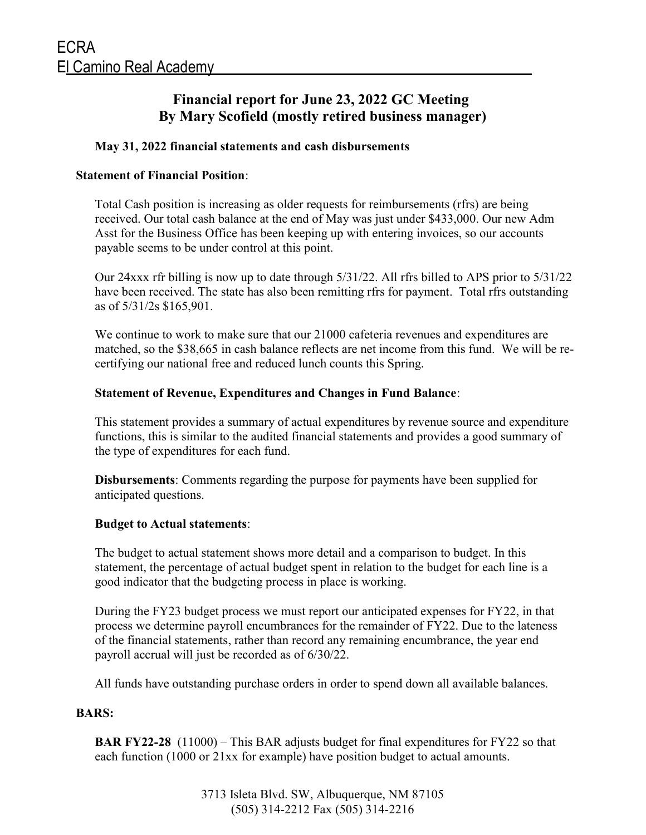## Financial report for June 23, 2022 GC Meeting By Mary Scofield (mostly retired business manager)

#### May 31, 2022 financial statements and cash disbursements

#### Statement of Financial Position:

Total Cash position is increasing as older requests for reimbursements (rfrs) are being received. Our total cash balance at the end of May was just under \$433,000. Our new Adm Asst for the Business Office has been keeping up with entering invoices, so our accounts payable seems to be under control at this point.

Our 24xxx rfr billing is now up to date through 5/31/22. All rfrs billed to APS prior to 5/31/22 have been received. The state has also been remitting rfrs for payment. Total rfrs outstanding as of 5/31/2s \$165,901.

We continue to work to make sure that our 21000 cafeteria revenues and expenditures are matched, so the \$38,665 in cash balance reflects are net income from this fund. We will be recertifying our national free and reduced lunch counts this Spring.

#### Statement of Revenue, Expenditures and Changes in Fund Balance:

This statement provides a summary of actual expenditures by revenue source and expenditure functions, this is similar to the audited financial statements and provides a good summary of the type of expenditures for each fund.

Disbursements: Comments regarding the purpose for payments have been supplied for anticipated questions.

#### Budget to Actual statements:

The budget to actual statement shows more detail and a comparison to budget. In this statement, the percentage of actual budget spent in relation to the budget for each line is a good indicator that the budgeting process in place is working.

During the FY23 budget process we must report our anticipated expenses for FY22, in that process we determine payroll encumbrances for the remainder of FY22. Due to the lateness of the financial statements, rather than record any remaining encumbrance, the year end payroll accrual will just be recorded as of 6/30/22.

All funds have outstanding purchase orders in order to spend down all available balances.

#### BARS:

BAR FY22-28 (11000) – This BAR adjusts budget for final expenditures for FY22 so that each function (1000 or 21xx for example) have position budget to actual amounts.

> 3713 Isleta Blvd. SW, Albuquerque, NM 87105 (505) 314-2212 Fax (505) 314-2216